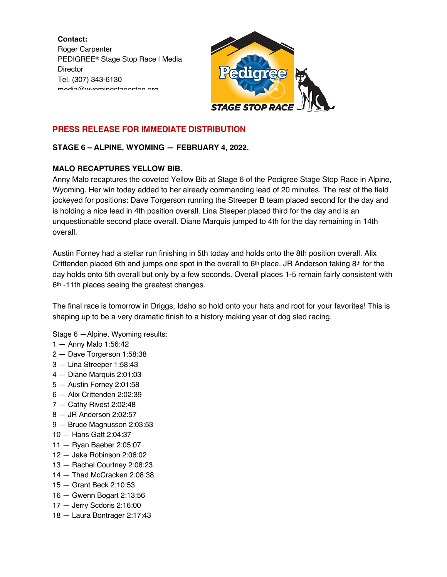**Contact:** Roger Carpenter PEDIGREE® Stage Stop Race | Media **Director** Tel. (307) 343-6130 media@wyomingstagestop.org



# **PRESS RELEASE FOR IMMEDIATE DISTRIBUTION**

## **STAGE 6 – ALPINE, WYOMING — FEBRUARY 4, 2022.**

## **MALO RECAPTURES YELLOW BIB.**

Anny Malo recaptures the coveted Yellow Bib at Stage 6 of the Pedigree Stage Stop Race in Alpine, Wyoming. Her win today added to her already commanding lead of 20 minutes. The rest of the field jockeyed for positions: Dave Torgerson running the Streeper B team placed second for the day and is holding a nice lead in 4th position overall. Lina Steeper placed third for the day and is an unquestionable second place overall. Diane Marquis jumped to 4th for the day remaining in 14th overall.

Austin Forney had a stellar run finishing in 5th today and holds onto the 8th position overall. Alix Crittenden placed 6th and jumps one spot in the overall to  $6<sup>th</sup>$  place. JR Anderson taking  $8<sup>th</sup>$  for the day holds onto 5th overall but only by a few seconds. Overall places 1-5 remain fairly consistent with 6<sup>th</sup> -11th places seeing the greatest changes.

The final race is tomorrow in Driggs, Idaho so hold onto your hats and root for your favorites! This is shaping up to be a very dramatic finish to a history making year of dog sled racing.

Stage 6 —Alpine, Wyoming results:

- 1 Anny Malo 1:56:42
- 2 Dave Torgerson 1:58:38
- 3 Lina Streeper 1:58:43
- 4 Diane Marquis 2:01:03
- 5 Austin Forney 2:01:58
- 6 Alix Crittenden 2:02:39
- 7 Cathy Rivest 2:02:48
- 8 JR Anderson 2:02:57
- 9 Bruce Magnusson 2:03:53
- 10 Hans Gatt 2:04:37
- 11 Ryan Baeber 2:05:07
- 12 Jake Robinson 2:06:02
- 13 Rachel Courtney 2:08:23
- 14 Thad McCracken 2:08:38
- 15 Grant Beck 2:10:53
- 16 Gwenn Bogart 2:13:56
- 17 Jerry Scdoris 2:16:00
- 18 Laura Bontrager 2:17:43